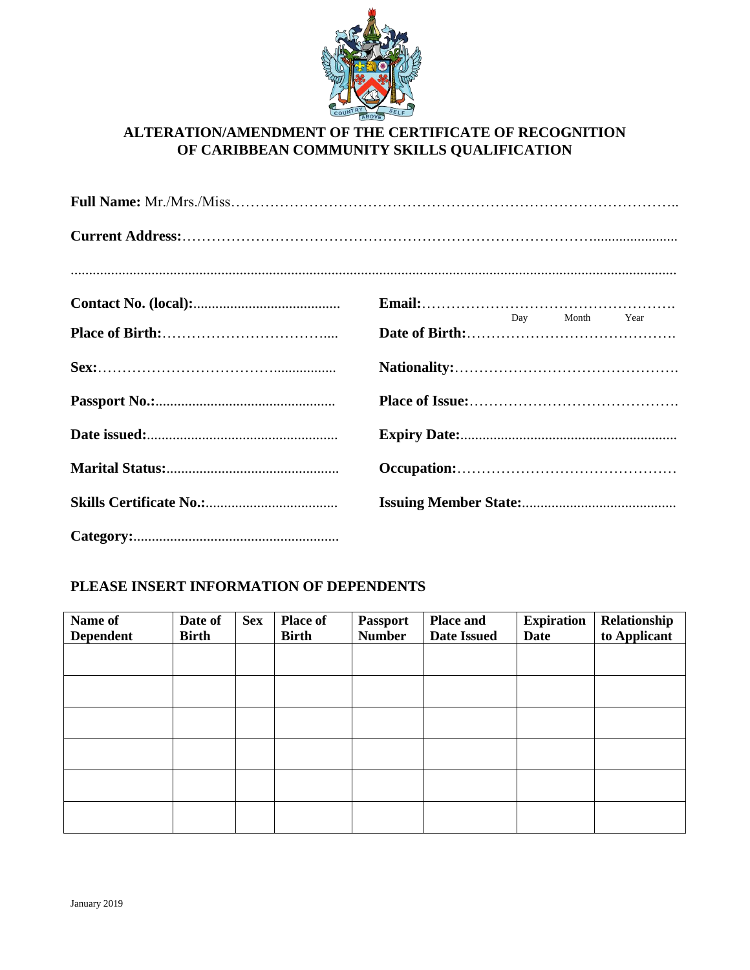

### **ALTERATION/AMENDMENT OF THE CERTIFICATE OF RECOGNITION OF CARIBBEAN COMMUNITY SKILLS QUALIFICATION**

| $\n  Email:\n$ |
|----------------|
| Day Month Year |
|                |
|                |
|                |
|                |
|                |
|                |

## **PLEASE INSERT INFORMATION OF DEPENDENTS**

| Name of<br><b>Dependent</b> | Date of<br><b>Birth</b> | <b>Sex</b> | <b>Place of</b><br><b>Birth</b> | <b>Passport</b><br><b>Number</b> | <b>Place and</b><br><b>Date Issued</b> | <b>Expiration</b><br>Date | Relationship<br>to Applicant |
|-----------------------------|-------------------------|------------|---------------------------------|----------------------------------|----------------------------------------|---------------------------|------------------------------|
|                             |                         |            |                                 |                                  |                                        |                           |                              |
|                             |                         |            |                                 |                                  |                                        |                           |                              |
|                             |                         |            |                                 |                                  |                                        |                           |                              |
|                             |                         |            |                                 |                                  |                                        |                           |                              |
|                             |                         |            |                                 |                                  |                                        |                           |                              |
|                             |                         |            |                                 |                                  |                                        |                           |                              |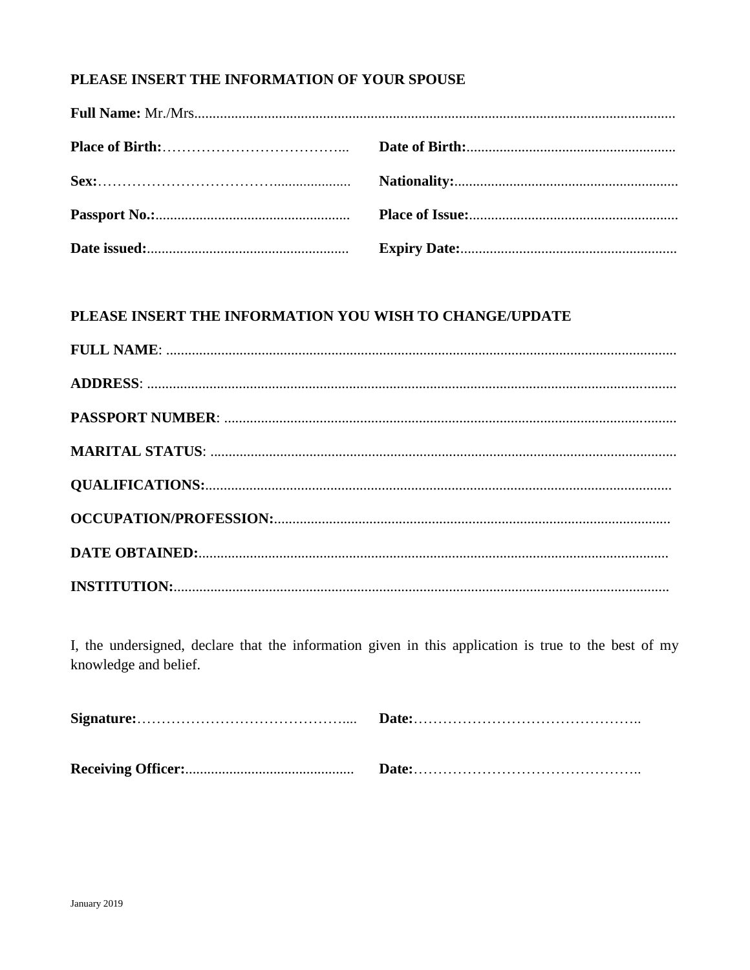## PLEASE INSERT THE INFORMATION OF YOUR SPOUSE

## PLEASE INSERT THE INFORMATION YOU WISH TO CHANGE/UPDATE

I, the undersigned, declare that the information given in this application is true to the best of my knowledge and belief.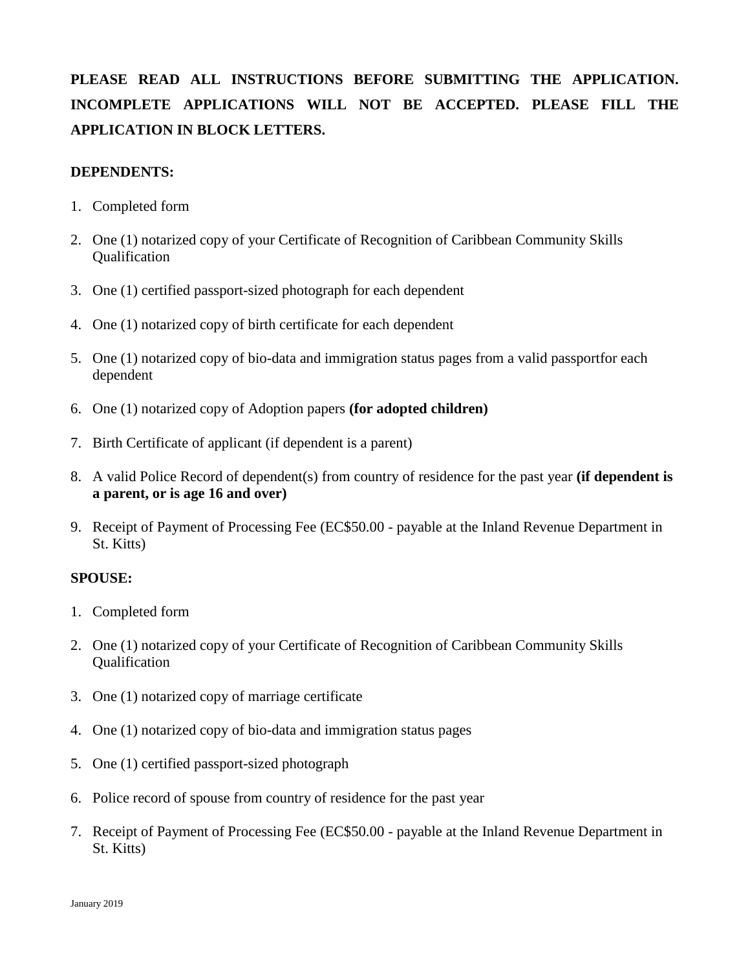# **PLEASE READ ALL INSTRUCTIONS BEFORE SUBMITTING THE APPLICATION. INCOMPLETE APPLICATIONS WILL NOT BE ACCEPTED. PLEASE FILL THE APPLICATION IN BLOCK LETTERS.**

### **DEPENDENTS:**

- 1. Completed form
- 2. One (1) notarized copy of your Certificate of Recognition of Caribbean Community Skills Qualification
- 3. One (1) certified passport-sized photograph for each dependent
- 4. One (1) notarized copy of birth certificate for each dependent
- 5. One (1) notarized copy of bio-data and immigration status pages from a valid passportfor each dependent
- 6. One (1) notarized copy of Adoption papers **(for adopted children)**
- 7. Birth Certificate of applicant (if dependent is a parent)
- 8. A valid Police Record of dependent(s) from country of residence for the past year **(if dependent is a parent, or is age 16 and over)**
- 9. Receipt of Payment of Processing Fee (EC\$50.00 payable at the Inland Revenue Department in St. Kitts)

### **SPOUSE:**

- 1. Completed form
- 2. One (1) notarized copy of your Certificate of Recognition of Caribbean Community Skills Qualification
- 3. One (1) notarized copy of marriage certificate
- 4. One (1) notarized copy of bio-data and immigration status pages
- 5. One (1) certified passport-sized photograph
- 6. Police record of spouse from country of residence for the past year
- 7. Receipt of Payment of Processing Fee (EC\$50.00 payable at the Inland Revenue Department in St. Kitts)